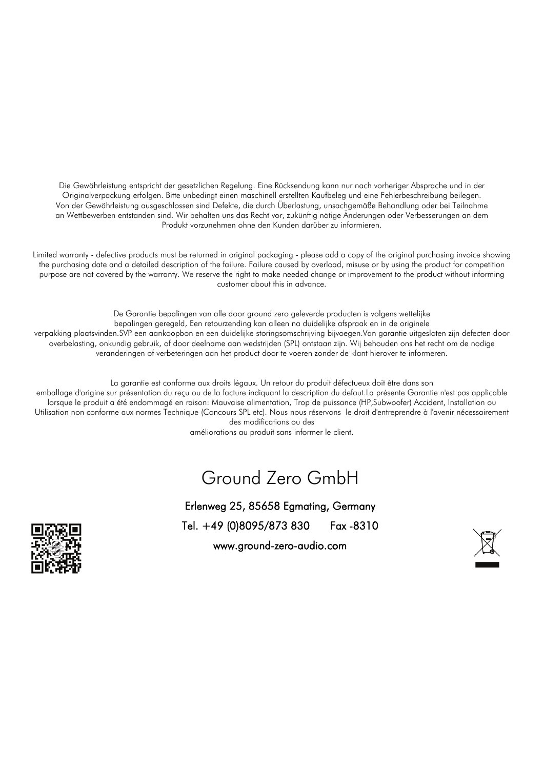Die Gewährleistung entspricht der gesetzlichen Regelung. Eine Rücksendung kann nur nach vorheriger Absprache und in der Originalverpackung erfolgen. Bitte unbedingt einen maschinell erstellten Kaufbeleg und eine Fehlerbeschreibung beilegen. Von der Gewährleistung ausgeschlossen sind Defekte, die durch Überlastung, unsachgemäße Behandlung oder bei Teilnahme an Wettbewerben entstanden sind. Wir behalten uns das Recht vor, zukünftig nötige Änderungen oder Verbesserungen an dem Produkt vorzunehmen ohne den Kunden darüber zu informieren.

Limited warranty - defective products must be returned in original packaging - please add a copy of the original purchasing invoice showing the purchasing date and a detailed description of the failure. Failure caused by overload, misuse or by using the product for competition purpose are not covered by the warranty. We reserve the right to make needed change or improvement to the product without informing customer about this in advance.

De Garantie bepalingen van alle door ground zero geleverde producten is volgens wettelijke bepalingen geregeld, Een retourzending kan alleen na duidelijke afspraak en in de originele verpakking plaatsvinden.SVP een aankoopbon en een duidelijke storingsomschrijving bijvoegen.Van garantie uitgesloten zijn defecten door overbelasting, onkundig gebruik, of door deelname aan wedstrijden (SPL) ontstaan zijn. Wij behouden ons het recht om de nodige veranderingen of verbeteringen aan het product door te voeren zonder de klant hierover te informeren.

La garantie est conforme aux droits légaux. Un retour du produit défectueux doit être dans son

emballage d'origine sur présentation du reçu ou de la facture indiquant la description du defaut.La présente Garantie n'est pas applicable lorsque le produit a été endommagé en raison: Mauvaise alimentation, Trop de puissance (HP,Subwoofer) Accident, Installation ou Utilisation non conforme aux normes Technique (Concours SPL etc). Nous nous réservons le droit d'entreprendre à l'avenir nécessairement des modifications ou des

améliorations au produit sans informer le client.

#### Ground Zero GmbH

Erlenweg 25, 85658 Egmating, Germany Tel. +49 (0)8095/873 830 Fax -8310 www.ground-zero-audio.com



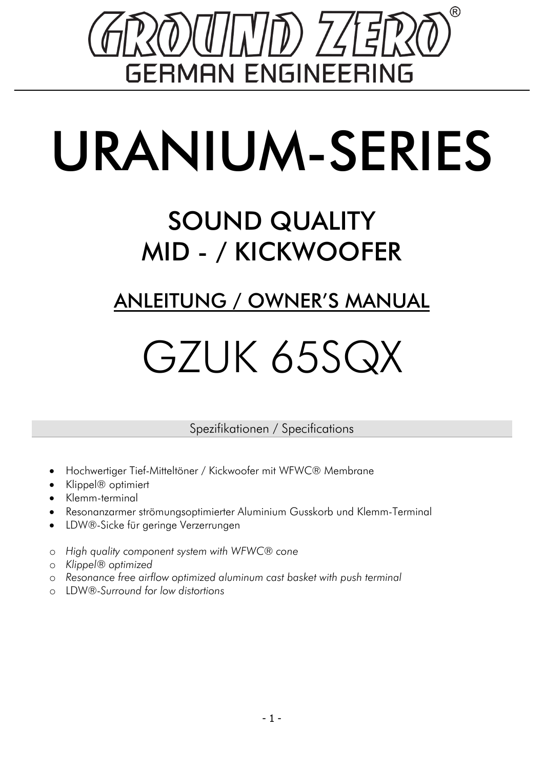

# URANIUM-SERIES

### SOUND QUALITY MID - / KICKWOOFER

#### ANLEITUNG / OWNER'S MANUAL

## GZUK 65SQX

Spezifikationen / Specifications

- Hochwertiger Tief-Mitteltöner / Kickwoofer mit WFWC® Membrane
- Klippel® optimiert
- Klemm-terminal
- Resonanzarmer strömungsoptimierter Aluminium Gusskorb und Klemm-Terminal
- LDW®-Sicke für geringe Verzerrungen
- o *High quality component system with WFWC® cone*
- o *Klippel® optimized*
- o *Resonance free airflow optimized aluminum cast basket with push terminal*
- o LDW®-*Surround for low distortions*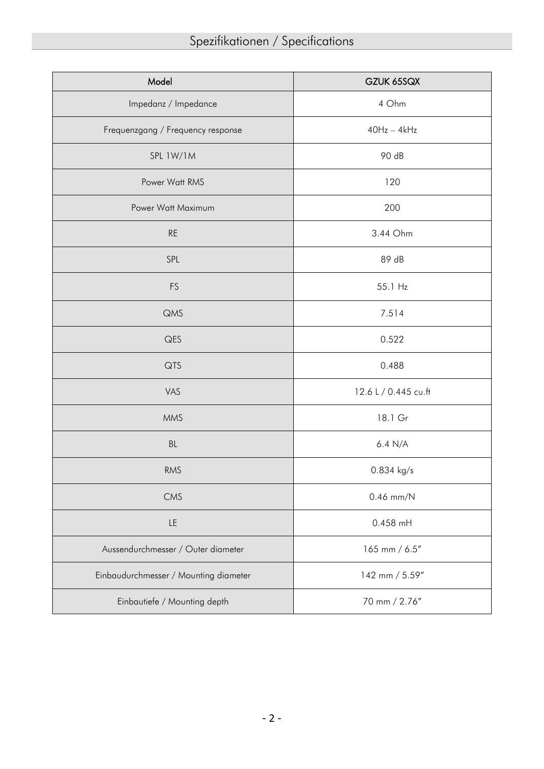| Model                                 | GZUK 65SQX           |
|---------------------------------------|----------------------|
| Impedanz / Impedance                  | 4 Ohm                |
| Frequenzgang / Frequency response     | $40Hz - 4kHz$        |
| SPL 1W/1M                             | 90 dB                |
| Power Watt RMS                        | 120                  |
| Power Watt Maximum                    | 200                  |
| <b>RE</b>                             | 3.44 Ohm             |
| SPL                                   | 89 dB                |
| <b>FS</b>                             | 55.1 Hz              |
| <b>QMS</b>                            | 7.514                |
| QES                                   | 0.522                |
| QTS                                   | 0.488                |
| VAS                                   | 12.6 L / 0.445 cu.ft |
| <b>MMS</b>                            | 18.1 Gr              |
| BL                                    | 6.4 N/A              |
| <b>RMS</b>                            | 0.834 kg/s           |
| CMS                                   | $0.46$ mm/N          |
| LE                                    | 0.458 mH             |
| Aussendurchmesser / Outer diameter    | 165 mm / 6.5"        |
| Einbaudurchmesser / Mounting diameter | 142 mm / 5.59"       |
| Einbautiefe / Mounting depth          | 70 mm / 2.76"        |